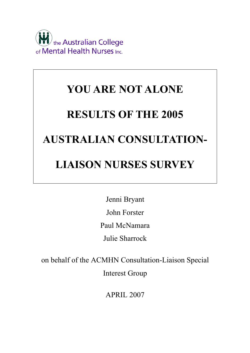

# **YOU ARE NOT ALONE RESULTS OF THE 2005 AUSTRALIAN CONSULTATION-LIAISON NURSES SURVEY**

Jenni Bryant John Forster Paul McNamara Julie Sharrock

on behalf of the ACMHN Consultation-Liaison Special

Interest Group

APRIL 2007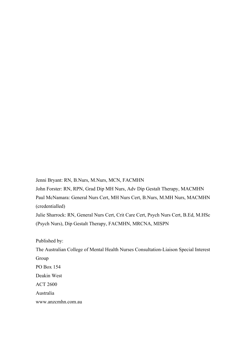Jenni Bryant: RN, B.Nurs, M.Nurs, MCN, FACMHN

John Forster: RN, RPN, Grad Dip MH Nurs, Adv Dip Gestalt Therapy, MACMHN

Paul McNamara: General Nurs Cert, MH Nurs Cert, B.Nurs, M.MH Nurs, MACMHN (credentialled)

Julie Sharrock: RN, General Nurs Cert, Crit Care Cert, Psych Nurs Cert, B.Ed, M.HSc (Psych Nurs), Dip Gestalt Therapy, FACMHN, MRCNA, MISPN

Published by:

The Australian College of Mental Health Nurses Consultation-Liaison Special Interest Group PO Box 154 Deakin West ACT 2600 Australia www.anzcmhn.com.au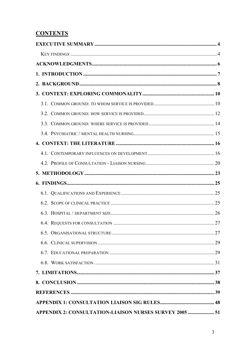# **CONTENTS**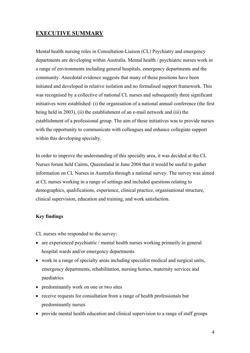# <span id="page-3-0"></span>**EXECUTIVE SUMMARY**

Mental health nursing roles in Consultation-Liaison (CL) Psychiatry and emergency departments are developing within Australia. Mental health / psychiatric nurses work in a range of environments including general hospitals, emergency departments and the community. Anecdotal evidence suggests that many of these positions have been initiated and developed in relative isolation and no formalised support framework. This was recognised by a collective of national CL nurses and subsequently three significant initiatives were established: (i) the organisation of a national annual conference (the first being held in 2003), (ii) the establishment of an e-mail network and (iii) the establishment of a professional group. The aim of these initiatives was to provide nurses with the opportunity to communicate with colleagues and enhance collegiate support within this developing specialty.

In order to improve the understanding of this specialty area, it was decided at the CL Nurses forum held Cairns, Queensland in June 2004 that it would be useful to gather information on CL Nurses in Australia through a national survey. The survey was aimed at CL nurses working in a range of settings and included questions relating to demographics, qualifications, experience, clinical practice, organisational structure, clinical supervision, education and training, and work satisfaction.

# **Key findings**

CL nurses who responded to the survey:

- are experienced psychiatric / mental health nurses working primarily in general hospital wards and/or emergency departments
- work in a range of specialty areas including specialist medical and surgical units, emergency departments, rehabilitation, nursing homes, maternity services and paediatrics
- predominantly work on one or two sites
- receive requests for consultation from a range of health professionals but predominantly nurses
- provide mental health education and clinical supervision to a range of staff groups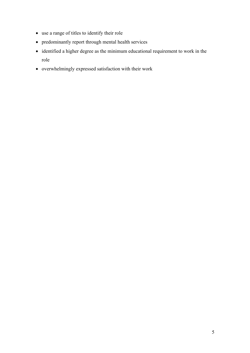- use a range of titles to identify their role
- predominantly report through mental health services
- identified a higher degree as the minimum educational requirement to work in the role
- overwhelmingly expressed satisfaction with their work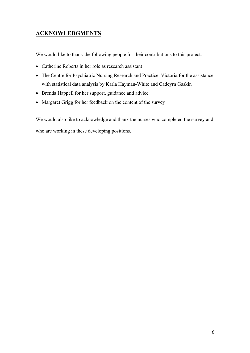# <span id="page-5-0"></span>**ACKNOWLEDGMENTS**

We would like to thank the following people for their contributions to this project:

- Catherine Roberts in her role as research assistant
- The Centre for Psychiatric Nursing Research and Practice, Victoria for the assistance with statistical data analysis by Karla Hayman-White and Cadeyrn Gaskin
- Brenda Happell for her support, guidance and advice
- Margaret Grigg for her feedback on the content of the survey

We would also like to acknowledge and thank the nurses who completed the survey and who are working in these developing positions.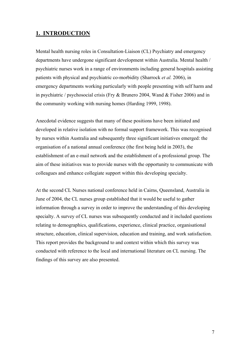# <span id="page-6-0"></span>**1. INTRODUCTION**

Mental health nursing roles in Consultation-Liaison (CL) Psychiatry and emergency departments have undergone significant development within Australia. Mental health / psychiatric nurses work in a range of environments including general hospitals assisting patients with physical and psychiatric co-morbidity (Sharrock *et al.* 2006), in emergency departments working particularly with people presenting with self harm and in psychiatric / psychosocial crisis (Fry & Brunero 2004, Wand & Fisher 2006) and in the community working with nursing homes (Harding 1999, 1998).

Anecdotal evidence suggests that many of these positions have been initiated and developed in relative isolation with no formal support framework. This was recognised by nurses within Australia and subsequently three significant initiatives emerged: the organisation of a national annual conference (the first being held in 2003), the establishment of an e-mail network and the establishment of a professional group. The aim of these initiatives was to provide nurses with the opportunity to communicate with colleagues and enhance collegiate support within this developing specialty.

At the second CL Nurses national conference held in Cairns, Queensland, Australia in June of 2004, the CL nurses group established that it would be useful to gather information through a survey in order to improve the understanding of this developing specialty. A survey of CL nurses was subsequently conducted and it included questions relating to demographics, qualifications, experience, clinical practice, organisational structure, education, clinical supervision, education and training, and work satisfaction. This report provides the background to and context within which this survey was conducted with reference to the local and international literature on CL nursing. The findings of this survey are also presented.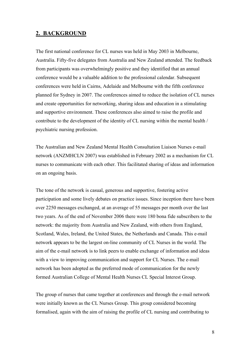# <span id="page-7-0"></span>**2. BACKGROUND**

The first national conference for CL nurses was held in May 2003 in Melbourne, Australia. Fifty-five delegates from Australia and New Zealand attended. The feedback from participants was overwhelmingly positive and they identified that an annual conference would be a valuable addition to the professional calendar. Subsequent conferences were held in Cairns, Adelaide and Melbourne with the fifth conference planned for Sydney in 2007. The conferences aimed to reduce the isolation of CL nurses and create opportunities for networking, sharing ideas and education in a stimulating and supportive environment. These conferences also aimed to raise the profile and contribute to the development of the identity of CL nursing within the mental health / psychiatric nursing profession.

The Australian and New Zealand Mental Health Consultation Liaison Nurses e-mail network (ANZMHCLN 2007) was established in February 2002 as a mechanism for CL nurses to communicate with each other. This facilitated sharing of ideas and information on an ongoing basis.

The tone of the network is casual, generous and supportive, fostering active participation and some lively debates on practice issues. Since inception there have been over 2250 messages exchanged, at an average of 55 messages per month over the last two years. As of the end of November 2006 there were 180 bona fide subscribers to the network: the majority from Australia and New Zealand, with others from England, Scotland, Wales, Ireland, the United States, the Netherlands and Canada. This e-mail network appears to be the largest on-line community of CL Nurses in the world. The aim of the e-mail network is to link peers to enable exchange of information and ideas with a view to improving communication and support for CL Nurses. The e-mail network has been adopted as the preferred mode of communication for the newly formed Australian College of Mental Health Nurses CL Special Interest Group.

The group of nurses that came together at conferences and through the e-mail network were initially known as the CL Nurses Group. This group considered becoming formalised, again with the aim of raising the profile of CL nursing and contributing to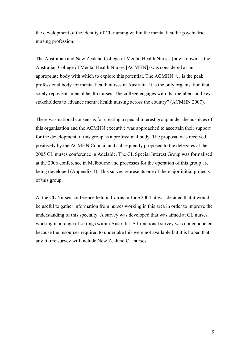the development of the identity of CL nursing within the mental health / psychiatric nursing profession.

The Australian and New Zealand College of Mental Health Nurses (now known as the Australian College of Mental Health Nurses [ACMHN]) was considered as an appropriate body with which to explore this potential. The ACMHN "…is the peak professional body for mental health nurses in Australia. It is the only organisation that solely represents mental health nurses. The college engages with its' members and key stakeholders to advance mental health nursing across the country" (ACMHN 2007).

There was national consensus for creating a special interest group under the auspices of this organisation and the ACMHN executive was approached to ascertain their support for the development of this group as a professional body. The proposal was received positively by the ACMHN Council and subsequently proposed to the delegates at the 2005 CL nurses conference in Adelaide. The CL Special Interest Group was formalised at the 2006 conference in Melbourne and processes for the operation of this group are being developed (Appendix 1). This survey represents one of the major initial projects of this group.

At the CL Nurses conference held in Cairns in June 2004, it was decided that it would be useful to gather information from nurses working in this area in order to improve the understanding of this specialty. A survey was developed that was aimed at CL nurses working in a range of settings within Australia. A bi-national survey was not conducted because the resources required to undertake this were not available but it is hoped that any future survey will include New Zealand CL nurses.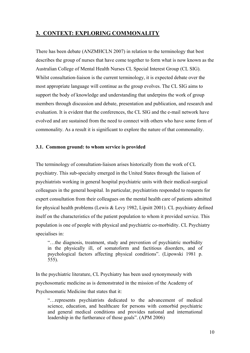# <span id="page-9-0"></span>**3. CONTEXT: EXPLORING COMMONALITY**

There has been debate (ANZMHCLN 2007) in relation to the terminology that best describes the group of nurses that have come together to form what is now known as the Australian College of Mental Health Nurses CL Special Interest Group (CL SIG). Whilst consultation-liaison is the current terminology, it is expected debate over the most appropriate language will continue as the group evolves. The CL SIG aims to support the body of knowledge and understanding that underpins the work of group members through discussion and debate, presentation and publication, and research and evaluation. It is evident that the conferences, the CL SIG and the e-mail network have evolved and are sustained from the need to connect with others who have some form of commonality. As a result it is significant to explore the nature of that commonality.

# **3.1. Common ground: to whom service is provided**

The terminology of consultation-liaison arises historically from the work of CL psychiatry. This sub-specialty emerged in the United States through the liaison of psychiatrists working in general hospital psychiatric units with their medical-surgical colleagues in the general hospital. In particular, psychiatrists responded to requests for expert consultation from their colleagues on the mental health care of patients admitted for physical health problems (Lewis & Levy 1982, Lipsitt 2001). CL psychiatry defined itself on the characteristics of the patient population to whom it provided service. This population is one of people with physical and psychiatric co-morbidity. CL Psychiatry specialises in:

"…the diagnosis, treatment, study and prevention of psychiatric morbidity in the physically ill, of somatoform and factitious disorders, and of psychological factors affecting physical conditions". (Lipowski 1981 p. 555).

In the psychiatric literature, CL Psychiatry has been used synonymously with psychosomatic medicine as is demonstrated in the mission of the Academy of Psychosomatic Medicine that states that it:

"…represents psychiatrists dedicated to the advancement of medical science, education, and healthcare for persons with comorbid psychiatric and general medical conditions and provides national and international leadership in the furtherance of those goals". (APM 2006)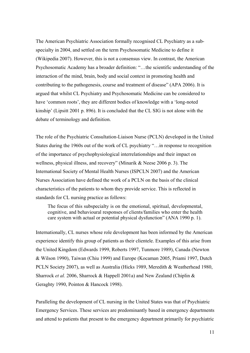The American Psychiatric Association formally recognised CL Psychiatry as a subspecialty in 2004, and settled on the term Psychosomatic Medicine to define it (Wikipedia 2007). However, this is not a consensus view. In contrast, the American Psychosomatic Academy has a broader definition: "…the scientific understanding of the interaction of the mind, brain, body and social context in promoting health and contributing to the pathogenesis, course and treatment of disease" (APA 2006). It is argued that whilst CL Psychiatry and Psychosomatic Medicine can be considered to have 'common roots', they are different bodies of knowledge with a 'long-noted kinship' (Lipsitt 2001 p. 896). It is concluded that the CL SIG is not alone with the debate of terminology and definition.

The role of the Psychiatric Consultation-Liaison Nurse (PCLN) developed in the United States during the 1960s out of the work of CL psychiatry "…in response to recognition of the importance of psychophysiological interrelationships and their impact on wellness, physical illness, and recovery" (Minarik & Neese 2006 p. 3). The International Society of Mental Health Nurses (ISPCLN 2007) and the American Nurses Association have defined the work of a PCLN on the basis of the clinical characteristics of the patients to whom they provide service. This is reflected in standards for CL nursing practice as follows:

The focus of this subspecialty is on the emotional, spiritual, developmental, cognitive, and behavioural responses of clients/families who enter the health care system with actual or potential physical dysfunction" (ANA 1990 p. 1).

Internationally, CL nurses whose role development has been informed by the American experience identify this group of patients as their clientele. Examples of this arise from the United Kingdom (Edwards 1999, Roberts 1997, Tunmore 1989), Canada (Newton & Wilson 1990), Taiwan (Chiu 1999) and Europe (Kocaman 2005, Priami 1997, Dutch PCLN Society 2007), as well as Australia (Hicks 1989, Meredith & Weatherhead 1980, Sharrock *et al.* 2006, Sharrock & Happell 2001a) and New Zealand (Chiplin & Geraghty 1990, Pointon & Hancock 1998).

Paralleling the development of CL nursing in the United States was that of Psychiatric Emergency Services. These services are predominantly based in emergency departments and attend to patients that present to the emergency department primarily for psychiatric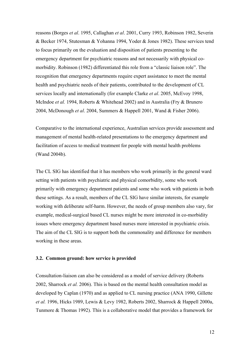<span id="page-11-0"></span>reasons (Borges *et al*. 1995, Callaghan *et al*. 2001, Curry 1993, Robinson 1982, Severin & Becker 1974, Stutesman & Yohanna 1994, Yoder & Jones 1982). These services tend to focus primarily on the evaluation and disposition of patients presenting to the emergency department for psychiatric reasons and not necessarily with physical comorbidity. Robinson (1982) differentiated this role from a "classic liaison role". The recognition that emergency departments require expert assistance to meet the mental health and psychiatric needs of their patients, contributed to the development of CL services locally and internationally (for example Clarke *et al*. 2005, McEvoy 1998, McIndoe *et al.* 1994, Roberts & Whitehead 2002) and in Australia (Fry & Brunero 2004, McDonough *et al*. 2004, Summers & Happell 2001, Wand & Fisher 2006).

Comparative to the international experience, Australian services provide assessment and management of mental health-related presentations to the emergency department and facilitation of access to medical treatment for people with mental health problems (Wand 2004b).

The CL SIG has identified that it has members who work primarily in the general ward setting with patients with psychiatric and physical comorbidity, some who work primarily with emergency department patients and some who work with patients in both these settings. As a result, members of the CL SIG have similar interests, for example working with deliberate self-harm. However, the needs of group members also vary, for example, medical-surgical based CL nurses might be more interested in co-morbidity issues where emergency department based nurses more interested in psychiatric crisis. The aim of the CL SIG is to support both the commonality and difference for members working in these areas.

#### **3.2. Common ground: how service is provided**

Consultation-liaison can also be considered as a model of service delivery (Roberts 2002, Sharrock *et al.* 2006). This is based on the mental health consultation model as developed by Caplan (1970) and as applied to CL nursing practice (ANA 1990, Gillette *et al.* 1996, Hicks 1989, Lewis & Levy 1982, Roberts 2002, Sharrock & Happell 2000a, Tunmore & Thomas 1992). This is a collaborative model that provides a framework for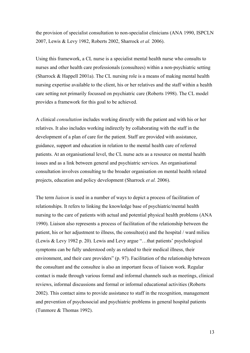the provision of specialist consultation to non-specialist clinicians (ANA 1990, ISPCLN 2007, Lewis & Levy 1982, Roberts 2002, Sharrock *et al.* 2006).

Using this framework, a CL nurse is a specialist mental health nurse who consults to nurses and other health care professionals (consultees) within a non-psychiatric setting (Sharrock & Happell 2001a). The CL nursing role is a means of making mental health nursing expertise available to the client, his or her relatives and the staff within a health care setting not primarily focussed on psychiatric care (Roberts 1998). The CL model provides a framework for this goal to be achieved.

A clinical *consultation* includes working directly with the patient and with his or her relatives. It also includes working indirectly by collaborating with the staff in the development of a plan of care for the patient. Staff are provided with assistance, guidance, support and education in relation to the mental health care of referred patients. At an organisational level, the CL nurse acts as a resource on mental health issues and as a link between general and psychiatric services. An organisational consultation involves consulting to the broader organisation on mental health related projects, education and policy development (Sharrock *et al.* 2006).

The term *liaison* is used in a number of ways to depict a process of facilitation of relationships. It refers to linking the knowledge base of psychiatric/mental health nursing to the care of patients with actual and potential physical health problems (ANA 1990). Liaison also represents a process of facilitation of the relationship between the patient, his or her adjustment to illness, the consultee(s) and the hospital / ward milieu (Lewis & Levy 1982 p. 20). Lewis and Levy argue "…that patients' psychological symptoms can be fully understood only as related to their medical illness, their environment, and their care providers" (p. 97). Facilitation of the relationship between the consultant and the consultee is also an important focus of liaison work. Regular contact is made through various formal and informal channels such as meetings, clinical reviews, informal discussions and formal or informal educational activities (Roberts 2002). This contact aims to provide assistance to staff in the recognition, management and prevention of psychosocial and psychiatric problems in general hospital patients (Tunmore & Thomas 1992).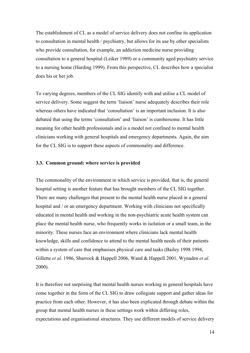<span id="page-13-0"></span>The establishment of CL as a model of service delivery does not confine its application to consultation in mental health / psychiatry, but allows for its use by other specialists who provide consultation, for example, an addiction medicine nurse providing consultation to a general hospital (Leiker 1989) or a community aged psychiatry service to a nursing home (Harding 1999). From this perspective, CL describes how a specialist does his or her job.

To varying degrees, members of the CL SIG identify with and utilise a CL model of service delivery. Some suggest the term 'liaison' nurse adequately describes their role whereas others have indicated that 'consultation' is an important inclusion. It is also debated that using the terms 'consultation' and 'liaison' is cumbersome. It has little meaning for other health professionals and is a model not confined to mental health clinicians working with general hospitals and emergency departments. Again, the aim for the CL SIG is to support these aspects of commonality and difference.

# **3.3. Common ground: where service is provided**

The commonality of the environment in which service is provided, that is, the general hospital setting is another feature that has brought members of the CL SIG together. There are many challenges that present to the mental health nurse placed in a general hospital and / or an emergency department. Working with clinicians not specifically educated in mental health and working in the non-psychiatric acute health system can place the mental health nurse, who frequently works in isolation or a small team, in the minority. These nurses face an environment where clinicians lack mental health knowledge, skills and confidence to attend to the mental health needs of their patients within a system of care that emphasises physical care and tasks (Bailey 1998 1994, Gillette *et al.* 1986, Sharrock & Happell 2006, Wand & Happell 2001, Wynaden *et al*. 2000).

It is therefore not surprising that mental health nurses working in general hospitals have come together in the form of the CL SIG to draw collegiate support and gather ideas for practice from each other. However, it has also been explicated through debate within the group that mental health nurses in these settings work within differing roles, expectations and organisational structures. They use different models of service delivery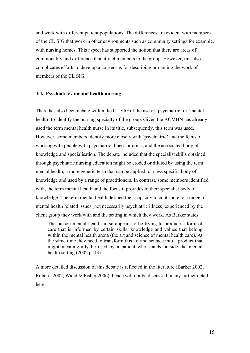<span id="page-14-0"></span>and work with different patient populations. The differences are evident with members of the CL SIG that work in other environments such as community settings for example, with nursing homes. This aspect has supported the notion that there are areas of commonality and difference that attract members to the group. However, this also complicates efforts to develop a consensus for describing or naming the work of members of the CL SIG.

#### **3.4. Psychiatric / mental health nursing**

There has also been debate within the CL SIG of the use of 'psychiatric' or 'mental health' to identify the nursing specialty of the group. Given the ACMHN has already used the term mental health nurse in its title, subsequently, this term was used. However, some members identify more closely with 'psychiatric' and the focus of working with people with psychiatric illness or crisis, and the associated body of knowledge and specialisation. The debate included that the specialist skills obtained through psychiatric nursing education might be eroded or diluted by using the term mental health, a more generic term that can be applied to a less specific body of knowledge and used by a range of practitioners. In contrast, some members identified with, the term mental health and the focus it provides to their specialist body of knowledge. The term mental health defined their capacity to contribute to a range of mental health related issues (not necessarily psychiatric illness) experienced by the client group they work with and the setting in which they work. As Barker states:

The liaison mental health nurse appears to be trying to produce a form of care that is informed by certain skills, knowledge and values that belong within the mental health arena (the art and science of mental health care). At the same time they need to transform this art and science into a product that might meaningfully be used by a patient who stands outside the mental health setting (2002 p. 13).

A more detailed discussion of this debate is reflected in the literature (Barker 2002, Roberts 2002, Wand & Fisher 2006), hence will not be discussed in any further detail here.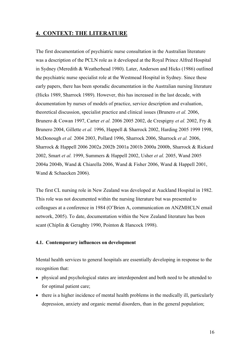# <span id="page-15-0"></span>**4. CONTEXT: THE LITERATURE**

The first documentation of psychiatric nurse consultation in the Australian literature was a description of the PCLN role as it developed at the Royal Prince Alfred Hospital in Sydney (Meredith & Weatherhead 1980). Later, Anderson and Hicks (1986) outlined the psychiatric nurse specialist role at the Westmead Hospital in Sydney. Since these early papers, there has been sporadic documentation in the Australian nursing literature (Hicks 1989, Sharrock 1989). However, this has increased in the last decade, with documentation by nurses of models of practice, service description and evaluation, theoretical discussion, specialist practice and clinical issues (Brunero *et al.* 2006, Brunero & Cowan 1997, Carter *et al.* 2006 2005 2002, de Crespigny *et al.* 2002, Fry & Brunero 2004, Gillette *et al.* 1996, Happell & Sharrock 2002, Harding 2005 1999 1998, McDonough *et al.* 2004 2003, Pollard 1996, Sharrock 2006, Sharrock *et al.* 2006, Sharrock & Happell 2006 2002a 2002b 2001a 2001b 2000a 2000b, Sharrock & Rickard 2002, Smart *et al.* 1999, Summers & Happell 2002, Usher *et al.* 2005, Wand 2005 2004a 2004b, Wand & Chiarella 2006, Wand & Fisher 2006, Wand & Happell 2001, Wand & Schaecken 2006).

The first CL nursing role in New Zealand was developed at Auckland Hospital in 1982. This role was not documented within the nursing literature but was presented to colleagues at a conference in 1984 (O'Brien A, communication on ANZMHCLN email network, 2005). To date, documentation within the New Zealand literature has been scant (Chiplin & Geraghty 1990, Pointon & Hancock 1998).

# **4.1. Contemporary influences on development**

Mental health services to general hospitals are essentially developing in response to the recognition that:

- physical and psychological states are interdependent and both need to be attended to for optimal patient care;
- there is a higher incidence of mental health problems in the medically ill, particularly depression, anxiety and organic mental disorders, than in the general population;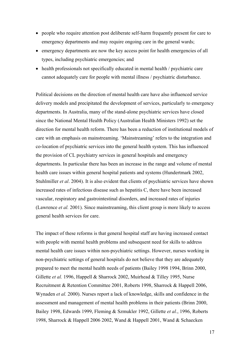- people who require attention post deliberate self-harm frequently present for care to emergency departments and may require ongoing care in the general wards;
- emergency departments are now the key access point for health emergencies of all types, including psychiatric emergencies; and
- health professionals not specifically educated in mental health / psychiatric care cannot adequately care for people with mental illness / psychiatric disturbance.

Political decisions on the direction of mental health care have also influenced service delivery models and precipitated the development of services, particularly to emergency departments. In Australia, many of the stand-alone psychiatric services have closed since the National Mental Health Policy (Australian Health Ministers 1992) set the direction for mental health reform. There has been a reduction of institutional models of care with an emphasis on mainstreaming. 'Mainstreaming' refers to the integration and co-location of psychiatric services into the general health system. This has influenced the provision of CL psychiatry services in general hospitals and emergency departments. In particular there has been an increase in the range and volume of mental health care issues within general hospital patients and systems (Hundertmark 2002, Stuhlmiller *et al*. 2004). It is also evident that clients of psychiatric services have shown increased rates of infectious disease such as hepatitis C, there have been increased vascular, respiratory and gastrointestinal disorders, and increased rates of injuries (Lawrence *et al.* 2001). Since mainstreaming, this client group is more likely to access general health services for care.

The impact of these reforms is that general hospital staff are having increased contact with people with mental health problems and subsequent need for skills to address mental health care issues within non-psychiatric settings. However, nurses working in non-psychiatric settings of general hospitals do not believe that they are adequately prepared to meet the mental health needs of patients (Bailey 1998 1994, Brinn 2000, Gillette *et al.* 1996, Happell & Sharrock 2002, Muirhead & Tilley 1995, Nurse Recruitment & Retention Committee 2001, Roberts 1998, Sharrock & Happell 2006, Wynaden *et al.* 2000). Nurses report a lack of knowledge, skills and confidence in the assessment and management of mental health problems in their patients (Brinn 2000, Bailey 1998, Edwards 1999, Fleming & Szmukler 1992, Gillette *et al.*, 1996, Roberts 1998, Sharrock & Happell 2006 2002, Wand & Happell 2001, Wand & Schaecken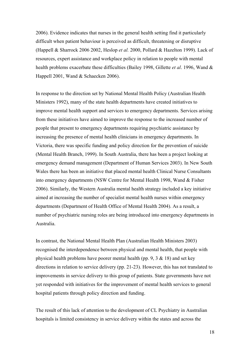2006). Evidence indicates that nurses in the general health setting find it particularly difficult when patient behaviour is perceived as difficult, threatening or disruptive (Happell & Sharrock 2006 2002, Heslop *et al.* 2000, Pollard & Hazelton 1999). Lack of resources, expert assistance and workplace policy in relation to people with mental health problems exacerbate these difficulties (Bailey 1998, Gillette *et al*. 1996, Wand & Happell 2001, Wand & Schaecken 2006).

In response to the direction set by National Mental Health Policy (Australian Health Ministers 1992), many of the state health departments have created initiatives to improve mental health support and services to emergency departments. Services arising from these initiatives have aimed to improve the response to the increased number of people that present to emergency departments requiring psychiatric assistance by increasing the presence of mental health clinicians in emergency departments. In Victoria, there was specific funding and policy direction for the prevention of suicide (Mental Health Branch, 1999). In South Australia, there has been a project looking at emergency demand management (Department of Human Services 2003). In New South Wales there has been an initiative that placed mental health Clinical Nurse Consultants into emergency departments (NSW Centre for Mental Health 1998, Wand & Fisher 2006). Similarly, the Western Australia mental health strategy included a key initiative aimed at increasing the number of specialist mental health nurses within emergency departments (Department of Health Office of Mental Health 2004). As a result, a number of psychiatric nursing roles are being introduced into emergency departments in Australia.

In contrast, the National Mental Health Plan (Australian Health Ministers 2003) recognised the interdependence between physical and mental health, that people with physical health problems have poorer mental health (pp. 9, 3 & 18) and set key directions in relation to service delivery (pp. 21-23). However, this has not translated to improvements in service delivery to this group of patients. State governments have not yet responded with initiatives for the improvement of mental health services to general hospital patients through policy direction and funding.

The result of this lack of attention to the development of CL Psychiatry in Australian hospitals is limited consistency in service delivery within the states and across the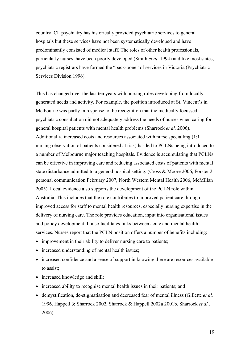country. CL psychiatry has historically provided psychiatric services to general hospitals but these services have not been systematically developed and have predominantly consisted of medical staff. The roles of other health professionals, particularly nurses, have been poorly developed (Smith *et al.* 1994) and like most states, psychiatric registrars have formed the "back-bone" of services in Victoria (Psychiatric Services Division 1996).

This has changed over the last ten years with nursing roles developing from locally generated needs and activity. For example, the position introduced at St. Vincent's in Melbourne was partly in response to the recognition that the medically focussed psychiatric consultation did not adequately address the needs of nurses when caring for general hospital patients with mental health problems (Sharrock *et al.* 2006). Additionally, increased costs and resources associated with nurse specialling (1:1 nursing observation of patients considered at risk) has led to PCLNs being introduced to a number of Melbourne major teaching hospitals. Evidence is accumulating that PCLNs can be effective in improving care and reducing associated costs of patients with mental state disturbance admitted to a general hospital setting. (Cross & Moore 2006, Forster J personal communication February 2007, North Western Mental Health 2006, McMillan 2005). Local evidence also supports the development of the PCLN role within Australia. This includes that the role contributes to improved patient care through improved access for staff to mental health resources, especially nursing expertise in the delivery of nursing care. The role provides education, input into organisational issues and policy development. It also facilitates links between acute and mental health services. Nurses report that the PCLN position offers a number of benefits including:

- improvement in their ability to deliver nursing care to patients;
- increased understanding of mental health issues;
- increased confidence and a sense of support in knowing there are resources available to assist;
- increased knowledge and skill;
- increased ability to recognise mental health issues in their patients; and
- demystification, de-stigmatisation and decreased fear of mental illness (Gillette *et al.* 1996, Happell & Sharrock 2002, Sharrock & Happell 2002a 2001b, Sharrock *et al.*, 2006).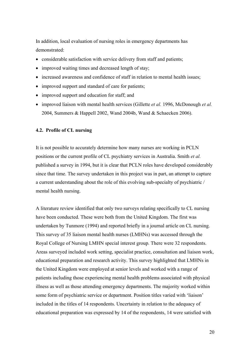<span id="page-19-0"></span>In addition, local evaluation of nursing roles in emergency departments has demonstrated:

- considerable satisfaction with service delivery from staff and patients;
- improved waiting times and decreased length of stay;
- increased awareness and confidence of staff in relation to mental health issues;
- improved support and standard of care for patients;
- improved support and education for staff; and
- improved liaison with mental health services (Gillette *et al.* 1996, McDonough *et al.* 2004, Summers & Happell 2002, Wand 2004b, Wand & Schaecken 2006).

#### **4.2. Profile of CL nursing**

It is not possible to accurately determine how many nurses are working in PCLN positions or the current profile of CL psychiatry services in Australia. Smith *et al.* published a survey in 1994, but it is clear that PCLN roles have developed considerably since that time. The survey undertaken in this project was in part, an attempt to capture a current understanding about the role of this evolving sub-specialty of psychiatric / mental health nursing.

A literature review identified that only two surveys relating specifically to CL nursing have been conducted. These were both from the United Kingdom. The first was undertaken by Tunmore (1994) and reported briefly in a journal article on CL nursing. This survey of 35 liaison mental health nurses (LMHNs) was accessed through the Royal College of Nursing LMHN special interest group. There were 32 respondents. Areas surveyed included work setting, specialist practice, consultation and liaison work, educational preparation and research activity. This survey highlighted that LMHNs in the United Kingdom were employed at senior levels and worked with a range of patients including those experiencing mental health problems associated with physical illness as well as those attending emergency departments. The majority worked within some form of psychiatric service or department. Position titles varied with 'liaison' included in the titles of 14 respondents. Uncertainty in relation to the adequacy of educational preparation was expressed by 14 of the respondents, 14 were satisfied with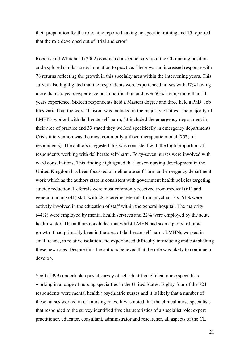their preparation for the role, nine reported having no specific training and 15 reported that the role developed out of 'trial and error'.

Roberts and Whitehead (2002) conducted a second survey of the CL nursing position and explored similar areas in relation to practice. There was an increased response with 78 returns reflecting the growth in this specialty area within the intervening years. This survey also highlighted that the respondents were experienced nurses with 97% having more than six years experience post qualification and over 50% having more than 11 years experience. Sixteen respondents held a Masters degree and three held a PhD. Job tiles varied but the word 'liaison' was included in the majority of titles. The majority of LMHNs worked with deliberate self-harm, 53 included the emergency department in their area of practice and 33 stated they worked specifically in emergency departments. Crisis intervention was the most commonly utilised therapeutic model (75% of respondents). The authors suggested this was consistent with the high proportion of respondents working with deliberate self-harm. Forty-seven nurses were involved with ward consultations. This finding highlighted that liaison nursing development in the United Kingdom has been focussed on deliberate self-harm and emergency department work which as the authors state is consistent with government health policies targeting suicide reduction. Referrals were most commonly received from medical (61) and general nursing (41) staff with 28 receiving referrals from psychiatrists. 61% were actively involved in the education of staff within the general hospital. The majority (44%) were employed by mental health services and 22% were employed by the acute health sector. The authors concluded that whilst LMHN had seen a period of rapid growth it had primarily been in the area of deliberate self-harm. LMHNs worked in small teams, in relative isolation and experienced difficulty introducing and establishing these new roles. Despite this, the authors believed that the role was likely to continue to develop.

Scott (1999) undertook a postal survey of self identified clinical nurse specialists working in a range of nursing specialties in the United States. Eighty-four of the 724 respondents were mental health / psychiatric nurses and it is likely that a number of these nurses worked in CL nursing roles. It was noted that the clinical nurse specialists that responded to the survey identified five characteristics of a specialist role: expert practitioner, educator, consultant, administrator and researcher, all aspects of the CL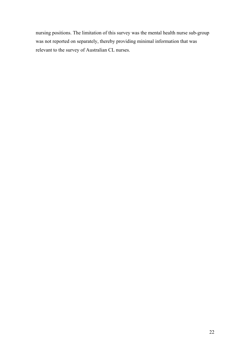nursing positions. The limitation of this survey was the mental health nurse sub-group was not reported on separately, thereby providing minimal information that was relevant to the survey of Australian CL nurses.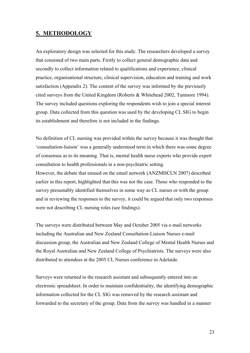# <span id="page-22-0"></span>**5. METHODOLOGY**

An exploratory design was selected for this study. The researchers developed a survey that consisted of two main parts. Firstly to collect general demographic data and secondly to collect information related to qualifications and experience, clinical practice, organisational structure, clinical supervision, education and training and work satisfaction (Appendix 2). The content of the survey was informed by the previously cited surveys from the United Kingdom (Roberts & Whitehead 2002, Tunmore 1994). The survey included questions exploring the respondents wish to join a special interest group. Data collected from this question was used by the developing CL SIG to begin its establishment and therefore is not included in the findings.

No definition of CL nursing was provided within the survey because it was thought that 'consultation-liaison' was a generally understood term in which there was some degree of consensus as to its meaning. That is, mental health nurse experts who provide expert consultation to health professionals in a non-psychiatric setting.

However, the debate that ensued on the email network (ANZMHCLN 2007) described earlier in this report, highlighted that this was not the case. Those who responded to the survey presumably identified themselves in some way as CL nurses or with the group and in reviewing the responses to the survey, it could be argued that only two responses were not describing CL nursing roles (see findings).

The surveys were distributed between May and October 2005 via e-mail networks including the Australian and New Zealand Consultation-Liaison Nurses e-mail discussion group, the Australian and New Zealand College of Mental Health Nurses and the Royal Australian and New Zealand College of Psychiatrists. The surveys were also distributed to attendees at the 2005 CL Nurses conference in Adelaide.

Surveys were returned to the research assistant and subsequently entered into an electronic spreadsheet. In order to maintain confidentiality, the identifying demographic information collected for the CL SIG was removed by the research assistant and forwarded to the secretary of the group. Data from the survey was handled in a manner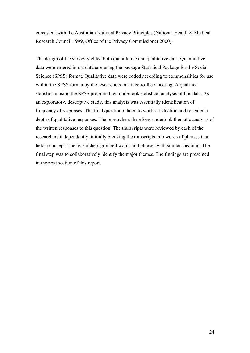consistent with the Australian National Privacy Principles (National Health & Medical Research Council 1999, Office of the Privacy Commissioner 2000).

The design of the survey yielded both quantitative and qualitative data. Quantitative data were entered into a database using the package Statistical Package for the Social Science (SPSS) format. Qualitative data were coded according to commonalities for use within the SPSS format by the researchers in a face-to-face meeting. A qualified statistician using the SPSS program then undertook statistical analysis of this data. As an exploratory, descriptive study, this analysis was essentially identification of frequency of responses. The final question related to work satisfaction and revealed a depth of qualitative responses. The researchers therefore, undertook thematic analysis of the written responses to this question. The transcripts were reviewed by each of the researchers independently, initially breaking the transcripts into words of phrases that held a concept. The researchers grouped words and phrases with similar meaning. The final step was to collaboratively identify the major themes. The findings are presented in the next section of this report.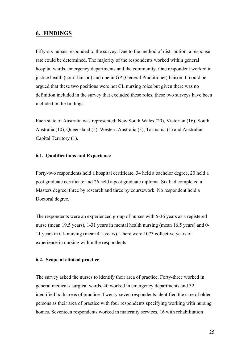# <span id="page-24-0"></span>**6. FINDINGS**

Fifty-six nurses responded to the survey. Due to the method of distribution, a response rate could be determined. The majority of the respondents worked within general hospital wards, emergency departments and the community. One respondent worked in justice health (court liaison) and one in GP (General Practitioner) liaison. It could be argued that these two positions were not CL nursing roles but given there was no definition included in the survey that excluded these roles, these two surveys have been included in the findings.

Each state of Australia was represented: New South Wales (20), Victorian (16), South Australia (10), Queensland (5), Western Australia (3), Tasmania (1) and Australian Capital Territory (1).

# **6.1. Qualifications and Experience**

Forty-two respondents held a hospital certificate, 34 held a bachelor degree, 20 held a post graduate certificate and 26 held a post graduate diploma. Six had completed a Masters degree, three by research and three by coursework. No respondent held a Doctoral degree.

The respondents were an experienced group of nurses with 5-36 years as a registered nurse (mean 19.5 years), 1-31 years in mental health nursing (mean 16.5 years) and 0- 11 years in CL nursing (mean 4.1 years). There were 1073 collective years of experience in nursing within the respondents

# **6.2. Scope of clinical practice**

The survey asked the nurses to identify their area of practice. Forty-three worked in general medical / surgical wards, 40 worked in emergency departments and 32 identified both areas of practice. Twenty-seven respondents identified the care of older persons as their area of practice with four respondents specifying working with nursing homes. Seventeen respondents worked in maternity services, 16 with rehabilitation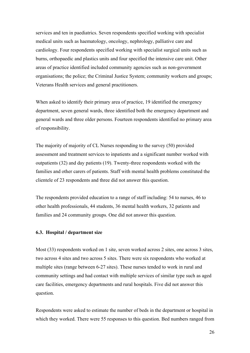<span id="page-25-0"></span>services and ten in paediatrics. Seven respondents specified working with specialist medical units such as haematology, oncology, nephrology, palliative care and cardiology. Four respondents specified working with specialist surgical units such as burns, orthopaedic and plastics units and four specified the intensive care unit. Other areas of practice identified included community agencies such as non-government organisations; the police; the Criminal Justice System; community workers and groups; Veterans Health services and general practitioners.

When asked to identify their primary area of practice, 19 identified the emergency department, seven general wards, three identified both the emergency department and general wards and three older persons. Fourteen respondents identified no primary area of responsibility.

The majority of majority of CL Nurses responding to the survey (50) provided assessment and treatment services to inpatients and a significant number worked with outpatients (32) and day patients (19). Twenty-three respondents worked with the families and other carers of patients. Staff with mental health problems constituted the clientele of 23 respondents and three did not answer this question.

The respondents provided education to a range of staff including: 54 to nurses, 46 to other health professionals, 44 students, 36 mental health workers, 32 patients and families and 24 community groups. One did not answer this question.

# **6.3. Hospital / department size**

Most (33) respondents worked on 1 site, seven worked across 2 sites, one across 3 sites, two across 4 sites and two across 5 sites. There were six respondents who worked at multiple sites (range between 6-27 sites). These nurses tended to work in rural and community settings and had contact with multiple services of similar type such as aged care facilities, emergency departments and rural hospitals. Five did not answer this question.

Respondents were asked to estimate the number of beds in the department or hospital in which they worked. There were 55 responses to this question. Bed numbers ranged from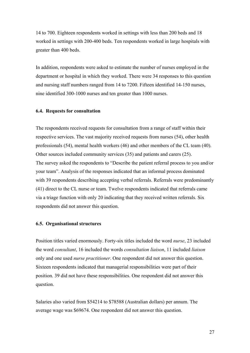<span id="page-26-0"></span>14 to 700. Eighteen respondents worked in settings with less than 200 beds and 18 worked in settings with 200-400 beds. Ten respondents worked in large hospitals with greater than 400 beds.

In addition, respondents were asked to estimate the number of nurses employed in the department or hospital in which they worked. There were 34 responses to this question and nursing staff numbers ranged from 14 to 7200. Fifteen identified 14-150 nurses, nine identified 300-1000 nurses and ten greater than 1000 nurses.

#### **6.4. Requests for consultation**

The respondents received requests for consultation from a range of staff within their respective services. The vast majority received requests from nurses (54), other health professionals (54), mental health workers (46) and other members of the CL team (40). Other sources included community services (35) and patients and carers (25). The survey asked the respondents to "Describe the patient referral process to you and/or your team". Analysis of the responses indicated that an informal process dominated with 39 respondents describing accepting verbal referrals. Referrals were predominantly (41) direct to the CL nurse or team. Twelve respondents indicated that referrals came via a triage function with only 20 indicating that they received written referrals. Six respondents did not answer this question.

#### **6.5. Organisational structures**

Position titles varied enormously. Forty-six titles included the word *nurse*, 23 included the word *consultant*, 16 included the words *consultation liaison*, 11 included *liaison* only and one used *nurse practitioner*. One respondent did not answer this question. Sixteen respondents indicated that managerial responsibilities were part of their position. 39 did not have these responsibilities. One respondent did not answer this question.

Salaries also varied from \$54214 to \$78588 (Australian dollars) per annum. The average wage was \$69674. One respondent did not answer this question.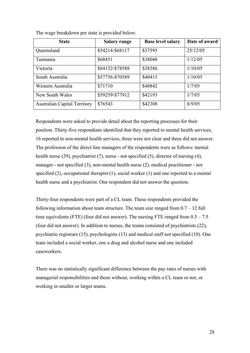| <b>State</b>                        | <b>Salary range</b> | <b>Base level salary</b> | Date of award |
|-------------------------------------|---------------------|--------------------------|---------------|
| Queensland                          | \$54214-\$68117     | \$37595                  | 25/12/05      |
| Tasmania                            | \$68451             | \$38048                  | 1/12/05       |
| Victoria                            | \$64132-\$78588     | \$38386                  | 1/10/05       |
| South Australia                     | \$57756-\$70589     | \$40413                  | 1/10/05       |
| Western Australia                   | \$71710             | \$40842                  | 1/7/05        |
| New South Wales                     | \$59259-\$77912     | \$42193                  | 1/7/05        |
| <b>Australian Capital Territory</b> | \$76543             | \$42308                  | 8/9/05        |

The wage breakdown per state is provided below:

Respondents were asked to provide detail about the reporting processes for their position. Thirty-five respondents identified that they reported to mental health services, 16 reported to non-mental health services, three were not clear and three did not answer. The profession of the direct line managers of the respondents were as follows: mental health nurse (29), psychiatrist (7), nurse - not specified (5), director of nursing (4), manager - not specified (3), non-mental health nurse (2), medical practitioner - not specified (2), occupational therapist (1), social worker (1) and one reported to a mental health nurse and a psychiatrist. One respondent did not answer the question.

Thirty-four respondents were part of a CL team. These respondents provided the following information about team structure. The team size ranged from  $0.7 - 12$  full time equivalents (FTE) (four did not answer). The nursing FTE ranged from  $0.5 - 7.5$ (four did not answer). In addition to nurses, the teams consisted of psychiatrists (22), psychiatric registrars (15), psychologists (13) and medical staff not specified (10). One team included a social worker, one a drug and alcohol nurse and one included caseworkers.

There was no statistically significant difference between the pay rates of nurses with managerial responsibilities and those without, working within a CL team or not, or working in smaller or larger teams.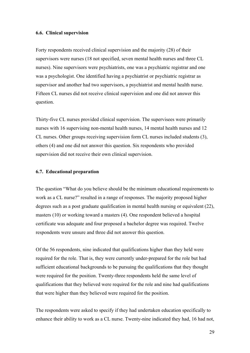#### <span id="page-28-0"></span>**6.6. Clinical supervision**

Forty respondents received clinical supervision and the majority (28) of their supervisors were nurses (18 not specified, seven mental health nurses and three CL nurses). Nine supervisors were psychiatrists, one was a psychiatric registrar and one was a psychologist. One identified having a psychiatrist or psychiatric registrar as supervisor and another had two supervisors, a psychiatrist and mental health nurse. Fifteen CL nurses did not receive clinical supervision and one did not answer this question.

Thirty-five CL nurses provided clinical supervision. The supervisees were primarily nurses with 16 supervising non-mental health nurses, 14 mental health nurses and 12 CL nurses. Other groups receiving supervision form CL nurses included students (3), others (4) and one did not answer this question. Six respondents who provided supervision did not receive their own clinical supervision.

#### **6.7. Educational preparation**

The question "What do you believe should be the minimum educational requirements to work as a CL nurse?" resulted in a range of responses. The majority proposed higher degrees such as a post graduate qualification in mental health nursing or equivalent (22), masters (10) or working toward a masters (4). One respondent believed a hospital certificate was adequate and four proposed a bachelor degree was required. Twelve respondents were unsure and three did not answer this question.

Of the 56 respondents, nine indicated that qualifications higher than they held were required for the role. That is, they were currently under-prepared for the role but had sufficient educational backgrounds to be pursuing the qualifications that they thought were required for the position. Twenty-three respondents held the same level of qualifications that they believed were required for the role and nine had qualifications that were higher than they believed were required for the position.

The respondents were asked to specify if they had undertaken education specifically to enhance their ability to work as a CL nurse. Twenty-nine indicated they had, 16 had not,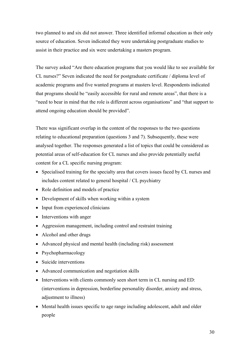two planned to and six did not answer. Three identified informal education as their only source of education. Seven indicated they were undertaking postgraduate studies to assist in their practice and six were undertaking a masters program.

The survey asked "Are there education programs that you would like to see available for CL nurses?" Seven indicated the need for postgraduate certificate / diploma level of academic programs and five wanted programs at masters level. Respondents indicated that programs should be "easily accessible for rural and remote areas", that there is a "need to bear in mind that the role is different across organisations" and "that support to attend ongoing education should be provided".

There was significant overlap in the content of the responses to the two questions relating to educational preparation (questions 3 and 7). Subsequently, these were analysed together. The responses generated a list of topics that could be considered as potential areas of self-education for CL nurses and also provide potentially useful content for a CL specific nursing program:

- Specialised training for the specialty area that covers issues faced by CL nurses and includes content related to general hospital / CL psychiatry
- Role definition and models of practice
- Development of skills when working within a system
- Input from experienced clinicians
- Interventions with anger
- Aggression management, including control and restraint training
- Alcohol and other drugs
- Advanced physical and mental health (including risk) assessment
- Psychopharmacology
- Suicide interventions
- Advanced communication and negotiation skills
- Interventions with clients commonly seen short term in CL nursing and ED: (interventions in depression, borderline personality disorder, anxiety and stress, adjustment to illness)
- Mental health issues specific to age range including adolescent, adult and older people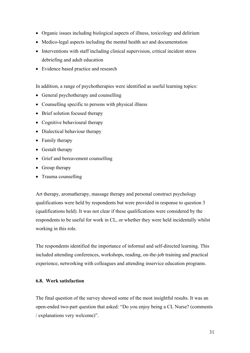- <span id="page-30-0"></span>• Organic issues including biological aspects of illness, toxicology and delirium
- Medico-legal aspects including the mental health act and documentation
- Interventions with staff including clinical supervision, critical incident stress debriefing and adult education
- Evidence based practice and research

In addition, a range of psychotherapies were identified as useful learning topics:

- General psychotherapy and counselling
- Counselling specific to persons with physical illness
- Brief solution focused therapy
- Cognitive behavioural therapy
- Dialectical behaviour therapy
- Family therapy
- Gestalt therapy
- Grief and bereavement counselling
- Group therapy
- Trauma counselling

Art therapy, aromatherapy, massage therapy and personal construct psychology qualifications were held by respondents but were provided in response to question 3 (qualifications held). It was not clear if these qualifications were considered by the respondents to be useful for work in CL, or whether they were held incidentally whilst working in this role.

The respondents identified the importance of informal and self-directed learning. This included attending conferences, workshops, reading, on-the-job training and practical experience, networking with colleagues and attending inservice education programs.

# **6.8. Work satisfaction**

The final question of the survey showed some of the most insightful results. It was an open-ended two-part question that asked: "Do you enjoy being a CL Nurse? (comments / explanations very welcome)".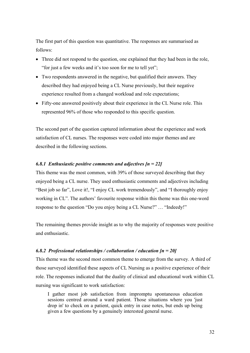The first part of this question was quantitative. The responses are summarised as follows:

- Three did not respond to the question, one explained that they had been in the role, "for just a few weeks and it's too soon for me to tell yet";
- Two respondents answered in the negative, but qualified their answers. They described they had enjoyed being a CL Nurse previously, but their negative experience resulted from a changed workload and role expectations;
- Fifty-one answered positively about their experience in the CL Nurse role. This represented 96% of those who responded to this specific question.

The second part of the question captured information about the experience and work satisfaction of CL nurses. The responses were coded into major themes and are described in the following sections.

# *6.8.1 Enthusiastic positive comments and adjectives [n = 22]*

This theme was the most common, with 39% of those surveyed describing that they enjoyed being a CL nurse. They used enthusiastic comments and adjectives including "Best job so far", Love it!, "I enjoy CL work tremendously", and "I thoroughly enjoy working in CL". The authors' favourite response within this theme was this one-word response to the question "Do you enjoy being a CL Nurse?" … "Indeedy!"

The remaining themes provide insight as to why the majority of responses were positive and enthusiastic.

#### *6.8.2 Professional relationships / collaboration / education [n = 20]*

This theme was the second most common theme to emerge from the survey. A third of those surveyed identified these aspects of CL Nursing as a positive experience of their role. The responses indicated that the duality of clinical and educational work within CL nursing was significant to work satisfaction:

I gather most job satisfaction from impromptu spontaneous education sessions centred around a ward patient. Those situations where you 'just drop in' to check on a patient, quick entry in case notes, but ends up being given a few questions by a genuinely interested general nurse.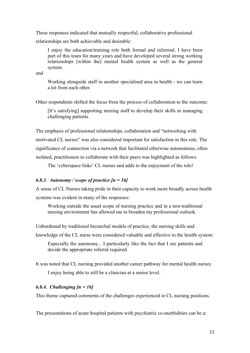These responses indicated that mutually respectful, collaborative professional relationships are both achievable and desirable:

I enjoy the education/training role both formal and informal. I have been part of this team for many years and have developed several strong working relationships [within the] mental health system as well as the general system.

and

Working alongside staff in another specialised area in health - we can learn a lot from each other.

Other respondents shifted the focus from the process of collaboration to the outcome:

[It's satisfying] supporting nursing staff to develop their skills in managing challenging patients.

The emphasis of professional relationships, collaboration and "networking with motivated CL nurses" was also considered important for satisfaction in this role. The significance of connection via a network that facilitated otherwise autonomous, often isolated, practitioners to collaborate with their peers was highlighted as follows:

The 'cyberspace links' CL nurses and adds to the enjoyment of the role!

#### *6.8.3. Autonomy / scope of practice [n = 16]*

A sense of CL Nurses taking pride in their capacity to work more broadly across health systems was evident in many of the responses:

Working outside the usual scope of nursing practice and in a non-traditional nursing environment has allowed me to broaden my professional outlook.

Unburdened by traditional hierarchal models of practice, the nursing skills and

knowledge of the CL nurse were considered valuable and effective to the health system:

Especially the autonomy…I particularly like the fact that I see patients and decide the appropriate referral required.

It was noted that CL nursing provided another career pathway for mental health nurses: I enjoy being able to still be a clinician at a senior level.

# *6.8.4. Challenging [n = 16]*

This theme captured comments of the challenges experienced in CL nursing positions.

The presentations of acute hospital patients with psychiatric co-morbidities can be a: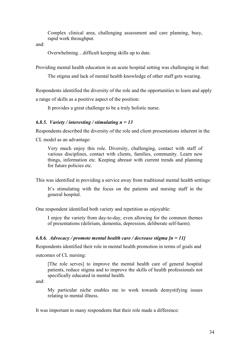Complex clinical area, challenging assessment and care planning, busy, rapid work throughput.

and:

Overwhelming…difficult keeping skills up to date.

Providing mental health education in an acute hospital setting was challenging in that:

The stigma and lack of mental health knowledge of other staff gets wearing.

Respondents identified the diversity of the role and the opportunities to learn and apply a range of skills as a positive aspect of the position:

It provides a great challenge to be a truly holistic nurse.

# *6.8.5. Variety / interesting / stimulating n = 13*

Respondents described the diversity of the role and client presentations inherent in the CL model as an advantage:

Very much enjoy this role. Diversity, challenging, contact with staff of various disciplines, contact with clients, families, community. Learn new things, information etc. Keeping abreast with current trends and planning for future policies etc.

This was identified in providing a service away from traditional mental health settings:

It's stimulating with the focus on the patients and nursing staff in the general hospital.

One respondent identified both variety and repetition as enjoyable:

I enjoy the variety from day-to-day, even allowing for the common themes of presentations (delirium, dementia, depression, deliberate self-harm).

# *6.8.6. Advocacy / promote mental health care / decrease stigma [n = 11]*

Respondents identified their role in mental health promotion in terms of goals and

outcomes of CL nursing:

[The role serves] to improve the mental health care of general hospital patients, reduce stigma and to improve the skills of health professionals not specifically educated in mental health.

and:

My particular niche enables me to work towards demystifying issues relating to mental illness.

It was important to many respondents that their role made a difference: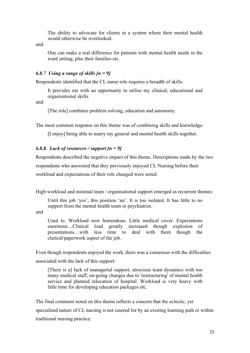The ability to advocate for clients in a system where their mental health would otherwise be overlooked.

and:

One can make a real difference for patients with mental health needs in the ward setting, plus their families etc.

# *6.8.7 Using a range of skills [n = 9]*

Respondents identified that the CL nurse role requires a breadth of skills:

It provides me with an opportunity to utilise my clinical, educational and organisational skills.

and:

[The role] combines problem solving, education and autonomy.

The most common response on this theme was of combining skills and knowledge:

[I enjoy] being able to marry my general and mental health skills together.

# *6.8.8. Lack of resources / support [n = 9]*

Respondents described the negative impact of this theme. Descriptions made by the two respondents who answered that they previously enjoyed CL Nursing before their workload and expectations of their role changed were noted.

High workload and minimal team / organisational support emerged as recurrent themes:

Until this job 'yes', this position 'no'. It is too isolated. It has little to no support from the mental health team or psychiatrist.

and

Used to. Workload now horrendous. Little medical cover. Expectations enormous…Clinical load greatly increased though explosion of presentations…with less time to deal with them though the clerical/paperwork aspect of the job.

Even though respondents enjoyed the work, there was a consensus with the difficulties associated with the lack of this support:

[There is a] lack of managerial support, atrocious team dynamics with too many medical staff, on-going changes due to 'restructuring' of mental health service and planned relocation of hospital. Workload is very heavy with little time for developing education packages etc.

The final comment noted on this theme reflects a concern that the eclectic, yet specialised nature of CL nursing is not catered for by an existing learning path or within traditional nursing practice: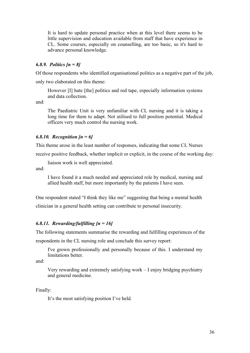It is hard to update personal practice when at this level there seems to be little supervision and education available from staff that have experience in CL. Some courses, especially on counselling, are too basic, so it's hard to advance personal knowledge.

# *6.8.9. Politics [n = 8]*

Of those respondents who identified organisational politics as a negative part of the job,

only two elaborated on this theme:

However [I] hate [the] politics and red tape, especially information systems and data collection.

and:

The Paediatric Unit is very unfamiliar with CL nursing and it is taking a long time for them to adapt. Not utilised to full position potential. Medical officers very much control the nursing work.

# *6.8.10. Recognition [n = 6]*

This theme arose in the least number of responses, indicating that some CL Nurses

receive positive feedback, whether implicit or explicit, in the course of the working day:

liaison work is well appreciated.

and:

I have found it a much needed and appreciated role by medical, nursing and allied health staff, but more importantly by the patients I have seen.

One respondent stated "I think they like me" suggesting that being a mental health

clinician in a general health setting can contribute to personal insecurity.

# *6.8.11. Rewarding/fulfilling [n = 16]*

The following statements summarise the rewarding and fulfilling experiences of the

respondents in the CL nursing role and conclude this survey report:

I've grown professionally and personally because of this. I understand my limitations better.

and:

Very rewarding and extremely satisfying work – I enjoy bridging psychiatry and general medicine.

Finally:

It's the most satisfying position I've held.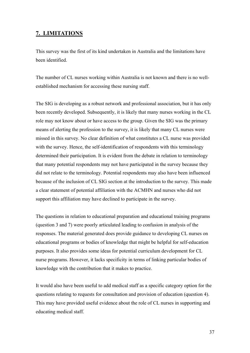# <span id="page-36-0"></span>**7. LIMITATIONS**

This survey was the first of its kind undertaken in Australia and the limitations have been identified.

The number of CL nurses working within Australia is not known and there is no wellestablished mechanism for accessing these nursing staff.

The SIG is developing as a robust network and professional association, but it has only been recently developed. Subsequently, it is likely that many nurses working in the CL role may not know about or have access to the group. Given the SIG was the primary means of alerting the profession to the survey, it is likely that many CL nurses were missed in this survey. No clear definition of what constitutes a CL nurse was provided with the survey. Hence, the self-identification of respondents with this terminology determined their participation. It is evident from the debate in relation to terminology that many potential respondents may not have participated in the survey because they did not relate to the terminology. Potential respondents may also have been influenced because of the inclusion of CL SIG section at the introduction to the survey. This made a clear statement of potential affiliation with the ACMHN and nurses who did not support this affiliation may have declined to participate in the survey.

The questions in relation to educational preparation and educational training programs (question 3 and 7) were poorly articulated leading to confusion in analysis of the responses. The material generated does provide guidance to developing CL nurses on educational programs or bodies of knowledge that might be helpful for self-education purposes. It also provides some ideas for potential curriculum development for CL nurse programs. However, it lacks specificity in terms of linking particular bodies of knowledge with the contribution that it makes to practice.

It would also have been useful to add medical staff as a specific category option for the questions relating to requests for consultation and provision of education (question 4). This may have provided useful evidence about the role of CL nurses in supporting and educating medical staff.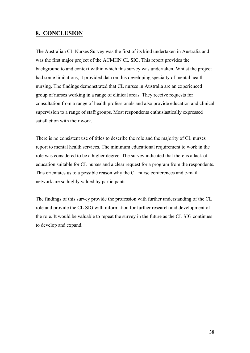# <span id="page-37-0"></span>**8. CONCLUSION**

The Australian CL Nurses Survey was the first of its kind undertaken in Australia and was the first major project of the ACMHN CL SIG. This report provides the background to and context within which this survey was undertaken. Whilst the project had some limitations, it provided data on this developing specialty of mental health nursing. The findings demonstrated that CL nurses in Australia are an experienced group of nurses working in a range of clinical areas. They receive requests for consultation from a range of health professionals and also provide education and clinical supervision to a range of staff groups. Most respondents enthusiastically expressed satisfaction with their work.

There is no consistent use of titles to describe the role and the majority of CL nurses report to mental health services. The minimum educational requirement to work in the role was considered to be a higher degree. The survey indicated that there is a lack of education suitable for CL nurses and a clear request for a program from the respondents. This orientates us to a possible reason why the CL nurse conferences and e-mail network are so highly valued by participants.

The findings of this survey provide the profession with further understanding of the CL role and provide the CL SIG with information for further research and development of the role. It would be valuable to repeat the survey in the future as the CL SIG continues to develop and expand.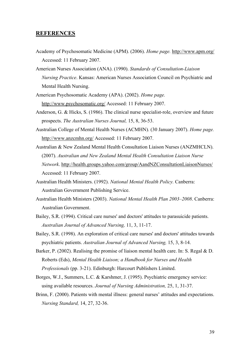# <span id="page-38-0"></span>**REFERENCES**

- Academy of Psychosomatic Medicine (APM). (2006). *Home page.* http://www.apm.org/ Accessed: 11 February 2007.
- American Nurses Association (ANA). (1990). *Standards of Consultation-Liaison Nursing Practice*. Kansas: American Nurses Association Council on Psychiatric and Mental Health Nursing.
- American Psychosomatic Academy (APA). (2002). *Home page.* http://www.psychosomatic.org/ Accessed: 11 February 2007.
- Anderson, G. & Hicks, S. (1986). The clinical nurse specialist-role, overview and future prospects. *The Australian Nurses Journal,* 15, 8, 36-53.
- Australian College of Mental Health Nurses (ACMHN). (30 January 2007). *Home page.* http://www.anzcmhn.org/ Accessed: 11 February 2007.
- Australian & New Zealand Mental Health Consultation Liaison Nurses (ANZMHCLN). (2007). *Australian and New Zealand Mental Health Consultation Liaison Nurse Network*. http://health.groups.yahoo.com/group/AandNZConsultationLiaisonNurses/ Accessed: 11 February 2007.
- Australian Health Ministers. (1992). *National Mental Health Policy.* Canberra: Australian Government Publishing Service.
- Australian Health Ministers (2003). *National Mental Health Plan 2003–2008*. Canberra: Australian Government.
- Bailey, S.R. (1994). Critical care nurses' and doctors' attitudes to parasuicide patients. *Australian Journal of Advanced Nursing,* 11, 3, 11-17.
- Bailey, S.R. (1998). An exploration of critical care nurses' and doctors' attitudes towards psychiatric patients. *Australian Journal of Advanced Nursing,* 15, 3, 8-14.
- Barker, P. (2002). Realising the promise of liaison mental health care. In: S. Regal & D. Roberts (Eds), *Mental Health Liaison; a Handbook for Nurses and Health Professionals* (pp. 3-21). Edinburgh: Harcourt Publishers Limited.
- Borges, W.J., Summers, L.C. & Karshmer, J. (1995). Psychiatric emergency service: using available resources. *Journal of Nursing Administration,* 25, 1, 31-37.
- Brinn, F. (2000). Patients with mental illness: general nurses' attitudes and expectations. *Nursing Standard,* 14, 27, 32-36.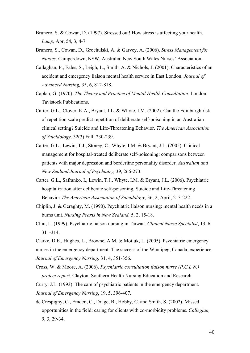- Brunero, S. & Cowan, D. (1997). Stressed out! How stress is affecting your health. *Lamp,* Apr, 54, 3, 4-7.
- Brunero, S., Cowan, D., Grochulski, A. & Garvey, A. (2006). *Stress Management for Nurses*. Camperdown, NSW, Australia: New South Wales Nurses' Association.
- Callaghan, P., Eales, S., Leigh, L., Smith, A. & Nichols, J. (2001). Characteristics of an accident and emergency liaison mental health service in East London. *Journal of Advanced Nursing,* 35, 6, 812-818.
- Caplan, G. (1970). *The Theory and Practice of Mental Health Consultation.* London: Tavistock Publications.
- Carter, G.L., Clover, K.A., Bryant, J.L. & Whyte, I.M. (2002). Can the Edinburgh risk of repetition scale predict repetition of deliberate self-poisoning in an Australian clinical setting? Suicide and Life-Threatening Behavior. *The American Association of Suicidology,* 32(3) Fall: 230-239.
- Carter, G.L., Lewin, T.J., Stoney, C., Whyte, I.M. & Bryant, J.L. (2005). Clinical management for hospital-treated deliberate self-poisoning: comparisons between patients with major depression and borderline personality disorder. *Australian and New Zealand Journal of Psychiatry,* 39, 266-273.
- Carter. G.L., Safranko, I., Lewin, T.J., Whyte, I.M. & Bryant, J.L. (2006). Psychiatric hospitalization after deliberate self-poisoning. Suicide and Life-Threatening Behavior *The American Association of Suicidology*, 36, 2, April, 213-222.
- Chiplin, J. & Geraghty, M. (1990). Psychiatric liaison nursing: mental health needs in a burns unit. *Nursing Praxis in New Zealand,* 5, 2, 15-18.
- Chiu, L. (1999). Psychiatric liaison nursing in Taiwan. *Clinical Nurse Specialist*, 13, 6, 311-314.

Clarke, D.E., Hughes, L., Browne, A.M. & Motluk, L. (2005). Psychiatric emergency nurses in the emergency department: The success of the Winnipeg, Canada, experience. *Journal of Emergency Nursing,* 31, 4, 351-356.

Cross, W. & Moore, A. (2006). *Psychiatric consultation liaison nurse (P.C.L.N.) project report*. Clayton: Southern Health Nursing Education and Research.

Curry, J.L. (1993). The care of psychiatric patients in the emergency department. *Journal of Emergency Nursing*, 19, 5, 396-407.

de Crespigny, C., Emden, C., Drage, B., Hobby, C. and Smith, S. (2002). Missed opportunities in the field: caring for clients with co-morbidity problems. *Collegian,* 9, 3, 29-34.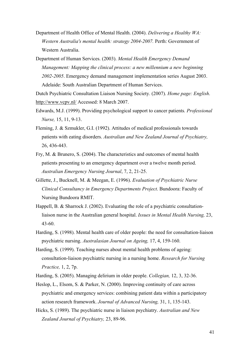Department of Health Office of Mental Health. (2004). *Delivering a Healthy WA: Western Australia's mental health: strategy 2004-2007.* Perth: Government of Western Australia.

Department of Human Services. (2003). *Mental Health Emergency Demand Management: Mapping the clinical process: a new millennium a new beginning 2002-2005*. Emergency demand management implementation series August 2003. Adelaide: South Australian Department of Human Services.

Dutch Psychiatric Consultation Liaison Nursing Society. (2007). *Home page: English*. http://www.vcpv.nl/ Accessed: 8 March 2007.

- Edwards, M.J. (1999). Providing psychological support to cancer patients*. Professional Nurse,* 15, 11, 9-13.
- Fleming, J. & Szmukler, G.I. (1992). Attitudes of medical professionals towards patients with eating disorders. *Australian and New Zealand Journal of Psychiatry,* 26, 436-443.
- Fry, M. & Brunero, S. (2004). The characteristics and outcomes of mental health patients presenting to an emergency department over a twelve month period. *Australian Emergency Nursing Journal*, 7, 2, 21-25.
- Gillette, J., Bucknell, M. & Meegan, E. (1996). *Evaluation of Psychiatric Nurse Clinical Consultancy in Emergency Departments Project*. Bundoora: Faculty of Nursing Bundoora RMIT.
- Happell, B. & Sharrock J. (2002). Evaluating the role of a psychiatric consultationliaison nurse in the Australian general hospital. *Issues in Mental Health Nursing,* 23, 43-60.
- Harding, S. (1998). Mental health care of older people: the need for consultation-liaison psychiatric nursing. *Australasian Journal on Ageing,* 17, 4, 159-160.
- Harding, S. (1999). Teaching nurses about mental health problems of ageing: consultation-liaison psychiatric nursing in a nursing home. *Research for Nursing Practice,* 1, 2, 7p.
- Harding, S. (2005). Managing delirium in older people. *Collegian,* 12, 3, 32-36.
- Heslop, L., Elsom, S. & Parker, N. (2000). Improving continuity of care across psychiatric and emergency services: combining patient data within a participatory action research framework. *Journal of Advanced Nursing,* 31, 1, 135-143.
- Hicks, S. (1989). The psychiatric nurse in liaison psychiatry. *Australian and New Zealand Journal of Psychiatry,* 23, 89-96.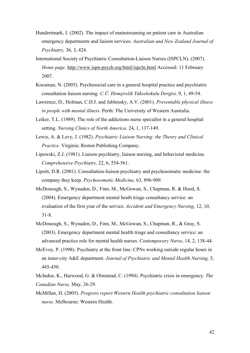- Hundertmark, J. (2002). The impact of mainstreaming on patient care in Australian emergency departments and liaison services. *Australian and New Zealand Journal of Psychiatry,* 36, 3, 424.
- International Society of Psychiatric Consultation-Liaison Nurses (ISPCLN). (2007). *Home page.* http://www.ispn-psych.org/html/ispcln.html Accessed: 11 February 2007.
- Kocaman, N. (2005). Psychosocial care in a general hospital practice and psychiatric consultation liaison nursing. *C.Ü. Hemşirelik Yüksekokulu Dergisi,* 9, 1, 49-54.
- Lawrence, D., Holman, C.D.J. and Jablensky, A.V. (2001). *Preventable physical illness in people with mental illness.* Perth: The University of Western Australia.
- Leiker, T.L. (1989). The role of the addictions nurse specialist in a general hospital setting. *Nursing Clinics of North America.* 24, 1, 137-149.
- Lewis, A. & Levy, J. (1982). *Psychiatric Liaison Nursing: the Theory and Clinical Practice.* Virginia: Reston Publishing Company.
- Lipowski, Z.J. (1981). Liaison psychiatry, liaison nursing, and behavioral medicine. *Comprehensive Psychiatry,* 22, 6, 554-561.
- Lipsitt, D.R. (2001). Consultation-liaison psychiatry and psychosomatic medicine: the company they keep. *Psychosomatic Medicine,* 63, 896-909.
- McDonough, S., Wynaden, D., Finn, M., McGowan, S., Chapman, R. & Hood, S. (2004). Emergency department mental heath triage consultancy service: an evaluation of the first year of the service. *Accident and Emergency Nursing,* 12, 10, 31-8.
- McDonough, S., Wynaden, D., Finn, M., McGowan, S., Chapman, R., & Gray, S. (2003). Emergency department mental health triage and consultancy service: an advanced practice role for mental health nurses. *Contemporary Nurse*, 14, 2, 138-44.
- McEvoy, P. (1998). Psychiatry at the front line: CPNs working outside regular hours in an inner-city A&E department. *Journal of Psychiatric and Mental Health Nursing,* 5, 445-450.
- McIndoe, K., Harwood, G. & Olmstead, C. (1994). Psychiatric crisis in emergency. *The Canadian Nurse,* May, 26-29.
- McMillan, H. (2005). *Progress report Western Health psychiatric consultation liaison nurse.* Melbourne: Western Health.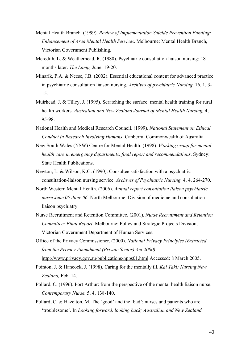- Mental Health Branch. (1999). *Review of Implementation Suicide Prevention Funding: Enhancement of Area Mental Health Services*. Melbourne: Mental Health Branch, Victorian Government Publishing.
- Meredith, L. & Weatherhead, R. (1980). Psychiatric consultation liaison nursing: 18 months later. *The Lamp,* June, 19-20.
- Minarik, P.A. & Neese, J.B. (2002). Essential educational content for advanced practice in psychiatric consultation liaison nursing. *Archives of psychiatric Nursing*. 16, 1, 3- 15.
- Muirhead, J. & Tilley, J. (1995). Scratching the surface: mental health training for rural health workers. *Australian and New Zealand Journal of Mental Health Nursing,* 4, 95-98.
- National Health and Medical Research Council. (1999). *National Statement on Ethical Conduct in Research Involving Humans.* Canberra: Commonwealth of Australia.
- New South Wales (NSW) Centre for Mental Health. (1998). *Working group for mental health care in emergency departments, final report and recommendations*. Sydney: State Health Publications.
- Newton, L. & Wilson, K.G. (1990). Consultee satisfaction with a psychiatric consultation-liaison nursing service. *Archives of Psychiatric Nursing.* 4, 4, 264-270.
- North Western Mental Health. (2006). *Annual report consultation liaison psychiatric nurse June 05-June 06*. North Melbourne: Division of medicine and consultation liaison psychiatry.
- Nurse Recruitment and Retention Committee. (2001). *Nurse Recruitment and Retention Committee: Final Report.* Melbourne: Policy and Strategic Projects Division, Victorian Government Department of Human Services.
- Office of the Privacy Commissioner. (2000). *National Privacy Principles (Extracted from the Privacy Amendment (Private Sector) Act 2000).* http://www.privacy.gov.au/publications/npps01.html Accessed: 8 March 2005.
- Pointon, J. & Hancock, J. (1998). Caring for the mentally ill. *Kai Taki: Nursing New Zealand,* Feb, 14.
- Pollard, C. (1996). Port Arthur: from the perspective of the mental health liaison nurse. *Contemporary Nurse,* 5, 4, 138-140.
- Pollard, C. & Hazelton, M. The 'good' and the 'bad': nurses and patients who are 'troublesome'. In *Looking forward, looking back; Australian and New Zealand*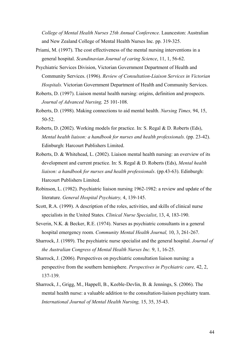*College of Mental Health Nurses 25th Annual Conference.* Launceston: Australian and New Zealand College of Mental Health Nurses Inc. pp. 319-325.

- Priami, M. (1997). The cost effectiveness of the mental nursing interventions in a general hospital. *Scandinavian Journal of caring Science*, 11, 1, 56-62.
- Psychiatric Services Division, Victorian Government Department of Health and Community Services. (1996). *Review of Consultation-Liaison Services in Victorian Hospitals.* Victorian Government Department of Health and Community Services.
- Roberts, D. (1997). Liaison mental health nursing: origins, definition and prospects. *Journal of Advanced Nursing,* 25 101-108.
- Roberts, D. (1998). Making connections to aid mental health. *Nursing Times,* 94, 15, 50-52.
- Roberts, D. (2002). Working models for practice. In: S. Regal & D. Roberts (Eds), *Mental health liaison: a handbook for nurses and health professionals.* (pp. 23-42). Edinburgh: Harcourt Publishers Limited.
- Roberts, D. & Whitehead, L. (2002). Liaison mental health nursing: an overview of its development and current practice. In: S. Regal & D. Roberts (Eds), *Mental health liaison: a handbook for nurses and health professionals*. (pp.43-63). Edinburgh: Harcourt Publishers Limited.
- Robinson, L. (1982). Psychiatric liaison nursing 1962-1982: a review and update of the literature. *General Hospital Psychiatry,* 4, 139-145.
- Scott, R.A. (1999). A description of the roles, activities, and skills of clinical nurse specialists in the United States. *Clinical Nurse Specialist*, 13, 4, 183-190.
- Severin, N.K. & Becker, R.E. (1974). Nurses as psychiatric consultants in a general hospital emergency room. *Community Mental Health Journal,* 10, 3, 261-267.
- Sharrock, J. (1989). The psychiatric nurse specialist and the general hospital. *Journal of the Australian Congress of Mental Health Nurses Inc.* 9, 1, 16-25.
- Sharrock, J. (2006). Perspectives on psychiatric consultation liaison nursing: a perspective from the southern hemisphere. *Perspectives in Psychiatric care,* 42, 2, 137-139.
- Sharrock, J., Grigg, M., Happell, B., Keeble-Devlin, B. & Jennings, S. (2006). The mental health nurse: a valuable addition to the consultation-liaison psychiatry team. *International Journal of Mental Health Nursing,* 15, 35, 35-43.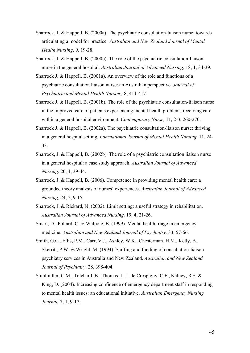- Sharrock, J. & Happell, B. (2000a). The psychiatric consultation-liaison nurse: towards articulating a model for practice. *Australian and New Zealand Journal of Mental Health Nursing,* 9, 19-28.
- Sharrock, J. & Happell, B. (2000b). The role of the psychiatric consultation-liaison nurse in the general hospital. *Australian Journal of Advanced Nursing,* 18, 1, 34-39.
- Sharrock J. & Happell, B. (2001a). An overview of the role and functions of a psychiatric consultation liaison nurse: an Australian perspective. *Journal of Psychiatric and Mental Health Nursing,* 8, 411-417.
- Sharrock J. & Happell, B. (2001b). The role of the psychiatric consultation-liaison nurse in the improved care of patients experiencing mental health problems receiving care within a general hospital environment. *Contemporary Nurse,* 11, 2-3, 260-270.
- Sharrock J. & Happell, B. (2002a). The psychiatric consultation-liaison nurse: thriving in a general hospital setting. *International Journal of Mental Health Nursing,* 11, 24- 33.
- Sharrock, J. & Happell, B. (2002b). The role of a psychiatric consultation liaison nurse in a general hospital: a case study approach. *Australian Journal of Advanced Nursing*. 20, 1, 39-44.
- Sharrock, J. & Happell, B. (2006). Competence in providing mental health care: a grounded theory analysis of nurses' experiences. *Australian Journal of Advanced Nursing,* 24, 2, 9-15.
- Sharrock, J. & Rickard, N. (2002). Limit setting: a useful strategy in rehabilitation. *Australian Journal of Advanced Nursing,* 19, 4, 21-26.
- Smart, D., Pollard, C. & Walpole, B. (1999). Mental health triage in emergency medicine. *Australian and New Zealand Journal of Psychiatry,* 33, 57-66.
- Smith, G.C., Ellis, P.M., Carr, V.J., Ashley, W.K., Chesterman, H.M., Kelly, B., Skerritt, P.W. & Wright, M. (1994). Staffing and funding of consultation-liaison psychiatry services in Australia and New Zealand. *Australian and New Zealand Journal of Psychiatry,* 28, 398-404.
- Stuhlmiller, C.M., Tolchard, B., Thomas, L.J., de Crespigny, C.F., Kalucy, R.S. & King, D. (2004). Increasing confidence of emergency department staff in responding to mental health issues: an educational initiative. *Australian Emergency Nursing Journal,* 7, 1, 9-17.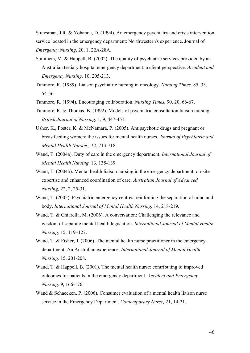Stutesman, J.R. & Yohanna, D. (1994). An emergency psychiatry and crisis intervention service located in the emergency department: Northwestern's experience. Journal of *Emergency Nursing*, 20, 1, 22A-28A.

- Summers, M. & Happell, B. (2002). The quality of psychiatric services provided by an Australian tertiary hospital emergency department: a client perspective. *Accident and Emergency Nursing,* 10, 205-213.
- Tunmore, R. (1989). Liaison psychiatric nursing in oncology. *Nursing Times,* 85, 33, 54-56.
- Tunmore, R. (1994). Encouraging collaboration. *Nursing Times,* 90, 20, 66-67.
- Tunmore, R. & Thomas, B. (1992). Models of psychiatric consultation liaison nursing. *British Journal of Nursing,* 1, 9, 447-451.
- Usher, K., Foster, K. & McNamara, P. (2005). Antipsychotic drugs and pregnant or breastfeeding women: the issues for mental health nurses. *Journal of Psychiatric and Mental Health Nursing, 12*, 713-718.
- Wand, T. (2004a). Duty of care in the emergency department. *International Journal of Mental Health Nursing,* 13, 135-139.
- Wand, T. (2004b). Mental health liaison nursing in the emergency department: on-site expertise and enhanced coordination of care. *Australian Journal of Advanced Nursing,* 22, 2, 25-31.
- Wand, T. (2005). Psychiatric emergency centres, reinforcing the separation of mind and body. *International Journal of Mental Health Nursing,* 14, 218-219.
- Wand, T. & Chiarella, M. (2006). A conversation: Challenging the relevance and wisdom of separate mental health legislation. *International Journal of Mental Health Nursing,* 15, 119–127.
- Wand, T. & Fisher, J. (2006). The mental health nurse practitioner in the emergency department: An Australian experience. *International Journal of Mental Health Nursing,* 15, 201-208.
- Wand, T. & Happell, B. (2001). The mental health nurse: contributing to improved outcomes for patients in the emergency department. *Accident and Emergency Nursing,* 9, 166-176.
- Wand & Schaecken, P. (2006). Consumer evaluation of a mental health liaison nurse service in the Emergency Department. *Contemporary Nurse,* 21, 14-21.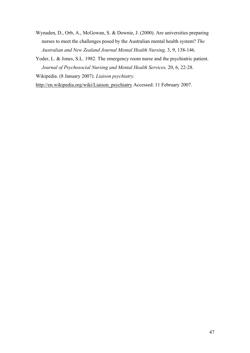- Wynaden, D., Orb, A., McGowan, S. & Downie, J. (2000). Are universities preparing nurses to meet the challenges posed by the Australian mental health system? *The Australian and New Zealand Journal Mental Health Nursing,* 3, 9, 138-146.
- Yoder, L. & Jones, S.L. 1982. The emergency room nurse and the psychiatric patient. *Journal of Psychosocial Nursing and Mental Health Services,* 20, 6, 22-28.

Wikipedia. (8 January 2007). *Liaison psychiatry.*

http://en.wikipedia.org/wiki/Liaison\_psychiatry Accessed: 11 February 2007.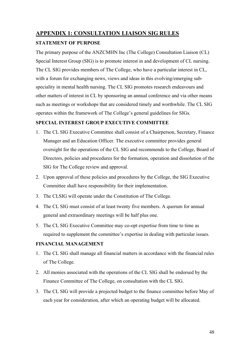# <span id="page-47-0"></span>**APPENDIX 1: CONSULTATION LIAISON SIG RULES**

# **STATEMENT OF PURPOSE**

The primary purpose of the ANZCMHN Inc (The College) Consultation Liaison (CL) Special Interest Group (SIG) is to promote interest in and development of CL nursing. The CL SIG provides members of The College, who have a particular interest in CL, with a forum for exchanging news, views and ideas in this evolving/emerging subspeciality in mental health nursing. The CL SIG promotes research endeavours and other matters of interest in CL by sponsoring an annual conference and via other means such as meetings or workshops that are considered timely and worthwhile. The CL SIG operates within the framework of The College's general guidelines for SIGs.

# **SPECIAL INTEREST GROUP EXECUTIVE COMMITTEE**

- 1. The CL SIG Executive Committee shall consist of a Chairperson, Secretary, Finance Manager and an Education Officer. The executive committee provides general oversight for the operations of the CL SIG and recommends to the College, Board of Directors, policies and procedures for the formation, operation and dissolution of the SIG for The College review and approval.
- 2. Upon approval of these policies and procedures by the College, the SIG Executive Committee shall have responsibility for their implementation.
- 3. The CLSIG will operate under the Constitution of The College.
- 4. The CL SIG must consist of at least twenty five members. A quorum for annual general and extraordinary meetings will be half plus one.
- 5. The CL SIG Executive Committee may co-opt expertise from time to time as required to supplement the committee's expertise in dealing with particular issues.

# **FINANCIAL MANAGEMENT**

- 1. The CL SIG shall manage all financial matters in accordance with the financial rules of The College.
- 2. All monies associated with the operations of the CL SIG shall be endorsed by the Finance Committee of The College, on consultation with the CL SIG.
- 3. The CL SIG will provide a projected budget to the finance committee before May of each year for consideration, after which an operating budget will be allocated.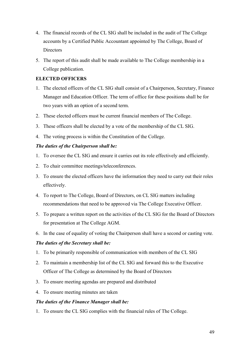- 4. The financial records of the CL SIG shall be included in the audit of The College accounts by a Certified Public Accountant appointed by The College, Board of **Directors**
- 5. The report of this audit shall be made available to The College membership in a College publication.

# **ELECTED OFFICERS**

- 1. The elected officers of the CL SIG shall consist of a Chairperson, Secretary, Finance Manager and Education Officer. The term of office for these positions shall be for two years with an option of a second term.
- 2. These elected officers must be current financial members of The College.
- 3. These officers shall be elected by a vote of the membership of the CL SIG.
- 4. The voting process is within the Constitution of the College.

# *The duties of the Chairperson shall be:*

- 1. To oversee the CL SIG and ensure it carries out its role effectively and efficiently.
- 2. To chair committee meetings/teleconferences.
- 3. To ensure the elected officers have the information they need to carry out their roles effectively.
- 4. To report to The College, Board of Directors, on CL SIG matters including recommendations that need to be approved via The College Executive Officer.
- 5. To prepare a written report on the activities of the CL SIG for the Board of Directors for presentation at The College AGM.
- 6. In the case of equality of voting the Chairperson shall have a second or casting vote.

# *The duties of the Secretary shall be:*

- 1. To be primarily responsible of communication with members of the CL SIG
- 2. To maintain a membership list of the CL SIG and forward this to the Executive Officer of The College as determined by the Board of Directors
- 3. To ensure meeting agendas are prepared and distributed
- 4. To ensure meeting minutes are taken

# *The duties of the Finance Manager shall be:*

1. To ensure the CL SIG complies with the financial rules of The College.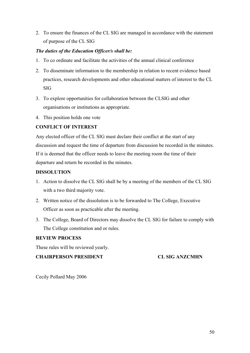2. To ensure the finances of the CL SIG are managed in accordance with the statement of purpose of the CL SIG

# *The duties of the Education Officer/s shall be:*

- 1. To co ordinate and facilitate the activities of the annual clinical conference
- 2. To disseminate information to the membership in relation to recent evidence based practices, research developments and other educational matters of interest to the CL SIG
- 3. To explore opportunities for collaboration between the CLSIG and other organisations or institutions as appropriate.
- 4. This position holds one vote

# **CONFLICT OF INTEREST**

Any elected officer of the CL SIG must declare their conflict at the start of any discussion and request the time of departure from discussion be recorded in the minutes. If it is deemed that the officer needs to leave the meeting room the time of their departure and return be recorded in the minutes.

# **DISSOLUTION**

- 1. Action to dissolve the CL SIG shall be by a meeting of the members of the CL SIG with a two third majority vote.
- 2. Written notice of the dissolution is to be forwarded to The College, Executive Officer as soon as practicable after the meeting.
- 3. The College, Board of Directors may dissolve the CL SIG for failure to comply with The College constitution and or rules.

# **REVIEW PROCESS**

These rules will be reviewed yearly.

# **CHAIRPERSON PRESIDENT CL SIG ANZCMHN**

Cecily Pollard May 2006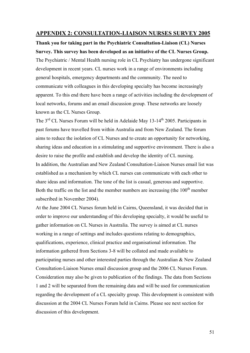# <span id="page-50-0"></span>**APPENDIX 2: CONSULTATION-LIAISON NURSES SURVEY 2005**

**Thank you for taking part in the Psychiatric Consultation-Liaison (CL) Nurses Survey. This survey has been developed as an initiative of the CL Nurses Group.** 

The Psychiatric / Mental Health nursing role in CL Psychiatry has undergone significant development in recent years. CL nurses work in a range of environments including general hospitals, emergency departments and the community. The need to communicate with colleagues in this developing specialty has become increasingly apparent. To this end there have been a range of activities including the development of local networks, forums and an email discussion group. These networks are loosely known as the CL Nurses Group.

The  $3<sup>rd</sup>$  CL Nurses Forum will be held in Adelaide May 13-14<sup>th</sup> 2005. Participants in past forums have travelled from within Australia and from New Zealand. The forum aims to reduce the isolation of CL Nurses and to create an opportunity for networking, sharing ideas and education in a stimulating and supportive environment. There is also a desire to raise the profile and establish and develop the identity of CL nursing. In addition, the Australian and New Zealand Consultation-Liaison Nurses email list was established as a mechanism by which CL nurses can communicate with each other to share ideas and information. The tone of the list is casual, generous and supportive. Both the traffic on the list and the member numbers are increasing (the  $100<sup>th</sup>$  member subscribed in November 2004).

At the June 2004 CL Nurses forum held in Cairns, Queensland, it was decided that in order to improve our understanding of this developing specialty, it would be useful to gather information on CL Nurses in Australia. The survey is aimed at CL nurses working in a range of settings and includes questions relating to demographics, qualifications, experience, clinical practice and organisational information. The information gathered from Sections 3-8 will be collated and made available to participating nurses and other interested parties through the Australian & New Zealand Consultation-Liaison Nurses email discussion group and the 2006 CL Nurses Forum. Consideration may also be given to publication of the findings. The data from Sections 1 and 2 will be separated from the remaining data and will be used for communication regarding the development of a CL specialty group. This development is consistent with discussion at the 2004 CL Nurses Forum held in Cairns. Please see next section for discussion of this development.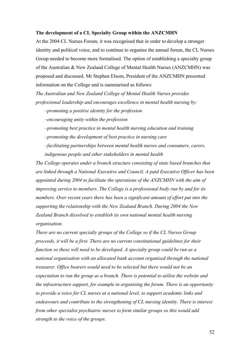#### **The development of a CL Specialty Group within the ANZCMHN**

At the 2004 CL Nurses Forum, it was recognised that in order to develop a stronger identity and political voice, and to continue to organise the annual forum, the CL Nurses Group needed to become more formalised. The option of establishing a specialty group of the Australian & New Zealand College of Mental Health Nurses (ANZCMHN) was proposed and discussed. Mr Stephen Elsom, President of the ANZCMHN presented information on the College and is summarised as follows:

*The Australian and New Zealand College of Mental Health Nurses provides professional leadership and encourages excellence in mental health nursing by:* 

*–promoting a positive identity for the profession* 

*–encouraging unity within the profession* 

*–promoting best practice in mental health nursing education and training* 

*–promoting the development of best practice in nursing care* 

*–facilitating partnerships between mental health nurses and consumers, carers,* 

*indigenous people and other stakeholders in mental health* 

*The College operates under a branch structure consisting of state based branches that are linked through a National Executive and Council. A paid Executive Officer has been appointed during 2004 to facilitate the operations of the ANZCMHN with the aim of improving service to members. The College is a professional body run by and for its members. Over recent years there has been a significant amount of effort put into the supporting the relationship with the New Zealand Branch. During 2004 the New Zealand Branch dissolved to establish its own national mental health nursing organisation.* 

*There are no current specialty groups of the College so if the CL Nurses Group proceeds, it will be a first. There are no current constitutional guidelines for their function so these will need to be developed. A specialty group could be run as a national organisation with an allocated bank account organised through the national treasurer. Office bearers would need to be selected but there would not be an expectation to run the group as a branch. There is potential to utilise the website and the infrastructure support, for example in organising the forum. There is an opportunity to provide a voice for CL nurses at a national level, to support academic links and endeavours and contribute to the strengthening of CL nursing identity. There is interest from other specialist psychiatric nurses to form similar groups so this would add strength to the voice of the groups.*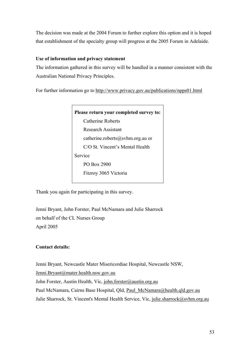The decision was made at the 2004 Forum to further explore this option and it is hoped that establishment of the specialty group will progress at the 2005 Forum in Adelaide.

# **Use of information and privacy statement**

The information gathered in this survey will be handled in a manner consistent with the Australian National Privacy Principles.

For further information go to http://www.privacy.gov.au/publications/npps01.html



Thank you again for participating in this survey.

Jenni Bryant, John Forster, Paul McNamara and Julie Sharrock on behalf of the CL Nurses Group April 2005

# **Contact details:**

Jenni Bryant, Newcastle Mater Misericordiae Hospital, Newcastle NSW, Jenni.Bryant@mater.health.nsw.gov.au John Forster, Austin Health, Vic, john.forster@austin.org.au Paul McNamara, Cairns Base Hospital, Qld, Paul McNamara@health.qld.gov.au Julie Sharrock, St. Vincent's Mental Health Service, Vic, julie.sharrock@svhm.org.au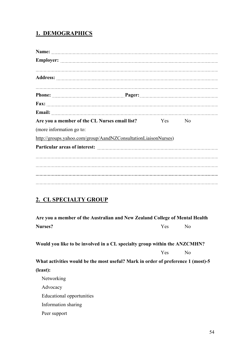# **1. DEMOGRAPHICS**

| Are you a member of the CL Nurses email list?                               | Yes | N <sub>0</sub> |
|-----------------------------------------------------------------------------|-----|----------------|
| (more information go to:                                                    |     |                |
| http://groups.yahoo.com/group/AandNZConsultationLiaisonNurses)              |     |                |
|                                                                             |     |                |
|                                                                             |     |                |
|                                                                             |     |                |
|                                                                             |     |                |
|                                                                             |     |                |
|                                                                             |     |                |
| 2. CL SPECIALTY GROUP                                                       |     |                |
| Are you a member of the Australian and New Zealand College of Mental Health |     |                |
| Nurses?                                                                     | Yes | N <sub>o</sub> |

**Would you like to be involved in a CL specialty group within the ANZCMHN?** 

Yes No

**What activities would be the most useful? Mark in order of preference 1 (most)-5 (least):** 

Networking Advocacy Educational opportunities Information sharing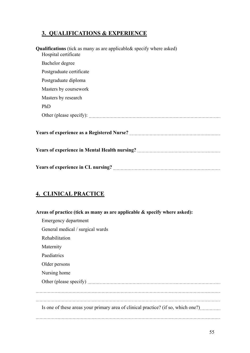# **3. QUALIFICATIONS & EXPERIENCE**

| <b>Qualifications</b> (tick as many as are applicable & specify where asked)<br>Hospital certificate |
|------------------------------------------------------------------------------------------------------|
| Bachelor degree                                                                                      |
| Postgraduate certificate                                                                             |
| Postgraduate diploma                                                                                 |
| Masters by coursework                                                                                |
| Masters by research                                                                                  |
| PhD                                                                                                  |
|                                                                                                      |
|                                                                                                      |
|                                                                                                      |
|                                                                                                      |

# **4. CLINICAL PRACTICE**

| Areas of practice (tick as many as are applicable $\&$ specify where asked):      |
|-----------------------------------------------------------------------------------|
| Emergency department                                                              |
| General medical / surgical wards                                                  |
| Rehabilitation                                                                    |
| Maternity                                                                         |
| Paediatrics                                                                       |
| Older persons                                                                     |
| Nursing home                                                                      |
|                                                                                   |
|                                                                                   |
|                                                                                   |
| Is one of these areas your primary area of clinical practice? (if so, which one?) |
|                                                                                   |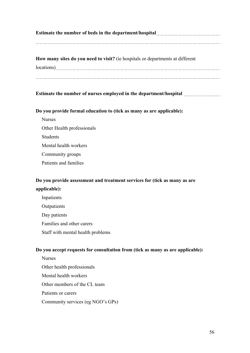# **Estimate the number of beds in the department/hospital**

**How many sites do you need to visit?** (ie hospitals or departments at different locations)

# **Estimate the number of nurses employed in the department/hospital**

# **Do you provide formal education to (tick as many as are applicable):**

Nurses Other Health professionals Students Mental health workers Community groups Patients and families

# **Do you provide assessment and treatment services for (tick as many as are applicable):**

Inpatients **Outpatients** Day patients Families and other carers Staff with mental health problems

# **Do you accept requests for consultation from (tick as many as are applicable):**

Nurses Other health professionals Mental health workers Other members of the CL team Patients or carers Community services (eg NGO's GPs)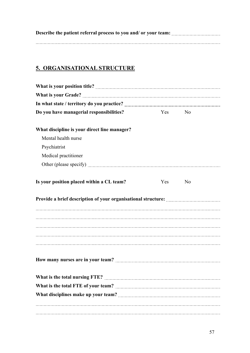# **5. ORGANISATIONAL STRUCTURE**

| Do you have managerial responsibilities?     | Yes | N <sub>0</sub> |  |
|----------------------------------------------|-----|----------------|--|
| What discipline is your direct line manager? |     |                |  |
| Mental health nurse                          |     |                |  |
| Psychiatrist                                 |     |                |  |
| Medical practitioner                         |     |                |  |
|                                              |     |                |  |
| Is your position placed within a CL team?    | Yes | N <sub>0</sub> |  |
|                                              |     |                |  |
|                                              |     |                |  |
|                                              |     |                |  |
|                                              |     |                |  |
|                                              |     |                |  |
|                                              |     |                |  |
|                                              |     |                |  |